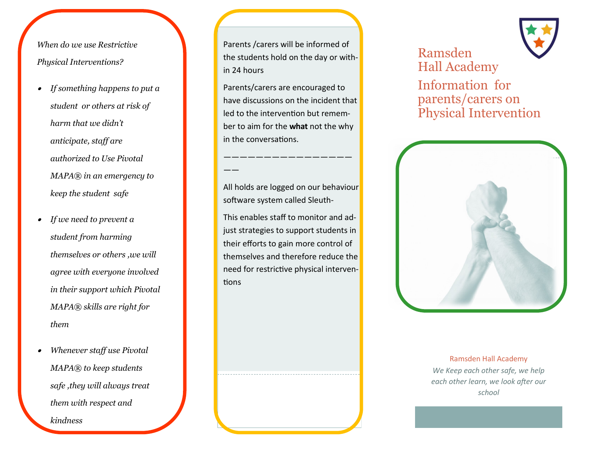*When do we use Restrictive Physical Interventions?*

- *If something happens to put a student or others at risk of harm that we didn't anticipate, staff are authorized to Use Pivotal MAPA® in an emergency to keep the student safe*
- . *If we need to prevent a student from harming themselves or others ,we will agree with everyone involved in their support which Pivotal MAPA® skills are right for them*
- . *Whenever staff use Pivotal MAPA® to keep students safe ,they will always treat them with respect and*

*kindness*

Parents /carers will be informed of the students hold on the day or within 24 hours

Parents/carers are encouraged to have discussions on the incident that led to the intervention but remember to aim for the **what** not the why in the conversations.

software system called Sleuth-

This enables staff to monitor and adjust strategies to support students in their efforts to gain more control of themselves and therefore reduce the need for restrictive physical interventions





Ramsden Hall Academy *We Keep each other safe, we help each other learn, we look after our school*



All holds are logged on our behaviour

————————————————

——